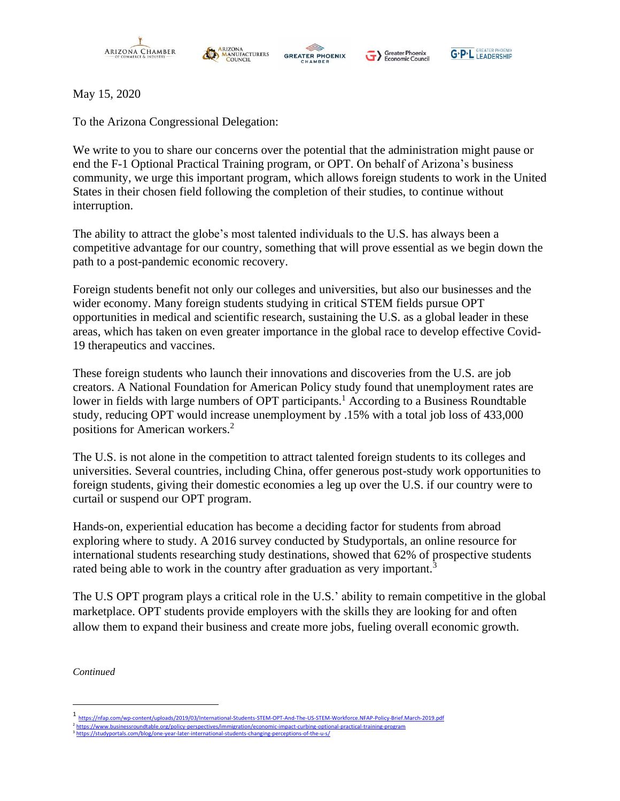





Greater Phoenix<br>
Economic Council

May 15, 2020

To the Arizona Congressional Delegation:

We write to you to share our concerns over the potential that the administration might pause or end the F-1 Optional Practical Training program, or OPT. On behalf of Arizona's business community, we urge this important program, which allows foreign students to work in the United States in their chosen field following the completion of their studies, to continue without interruption.

The ability to attract the globe's most talented individuals to the U.S. has always been a competitive advantage for our country, something that will prove essential as we begin down the path to a post-pandemic economic recovery.

Foreign students benefit not only our colleges and universities, but also our businesses and the wider economy. Many foreign students studying in critical STEM fields pursue OPT opportunities in medical and scientific research, sustaining the U.S. as a global leader in these areas, which has taken on even greater importance in the global race to develop effective Covid-19 therapeutics and vaccines.

These foreign students who launch their innovations and discoveries from the U.S. are job creators. A National Foundation for American Policy study found that unemployment rates are lower in fields with large numbers of OPT participants.<sup>1</sup> According to a Business Roundtable study, reducing OPT would increase unemployment by .15% with a total job loss of 433,000 positions for American workers.<sup>2</sup>

The U.S. is not alone in the competition to attract talented foreign students to its colleges and universities. Several countries, including China, offer generous post-study work opportunities to foreign students, giving their domestic economies a leg up over the U.S. if our country were to curtail or suspend our OPT program.

Hands-on, experiential education has become a deciding factor for students from abroad exploring where to study. A 2016 survey conducted by Studyportals, an online resource for international students researching study destinations, showed that 62% of prospective students rated being able to work in the country after graduation as very important.<sup>3</sup>

The U.S OPT program plays a critical role in the U.S.' ability to remain competitive in the global marketplace. OPT students provide employers with the skills they are looking for and often allow them to expand their business and create more jobs, fueling overall economic growth.

*Continued*

<sup>1</sup> <https://nfap.com/wp-content/uploads/2019/03/International-Students-STEM-OPT-And-The-US-STEM-Workforce.NFAP-Policy-Brief.March-2019.pdf>

<sup>&</sup>lt;sup>2</sup> <https://www.businessroundtable.org/policy-perspectives/immigration/economic-impact-curbing-optional-practical-training-program> <sup>3</sup> <https://studyportals.com/blog/one-year-later-international-students-changing-perceptions-of-the-u-s/>